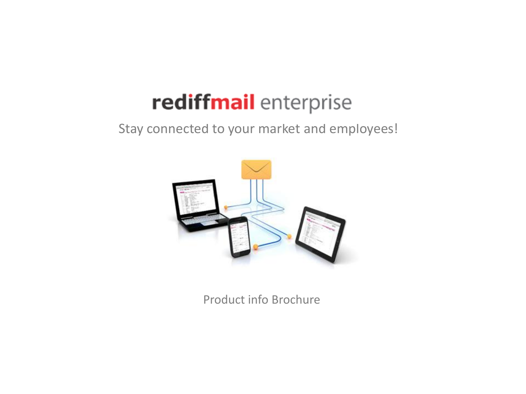# rediffmail enterprise

Stay connected to your market and employees!



Product info Brochure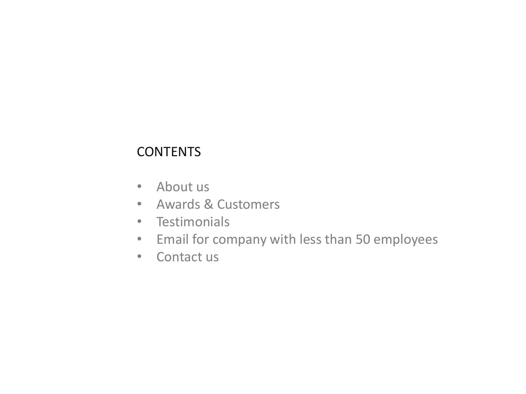### **CONTENTS**

- About us
- Awards & Customers
- Testimonials
- Email for company with less than 50 employees
- Contact us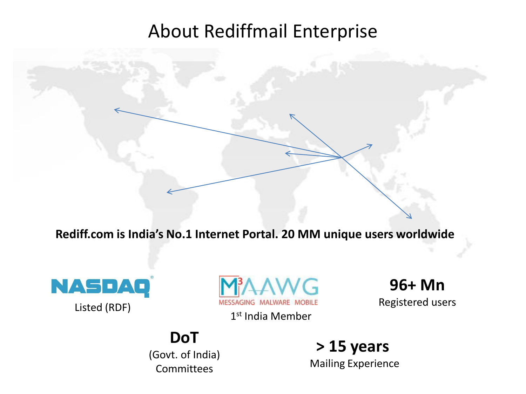## About Rediffmail Enterprise

**Rediff.com is India's No.1 Internet Portal. 20 MM unique users worldwide**

**NASDAQ** 



1st India Member

**96+ Mn**

Listed (RDF) MESSAGING MALWARE MOBILE Registered users

### **DoT**

(Govt. of India) Committees

**> 15 years**  Mailing Experience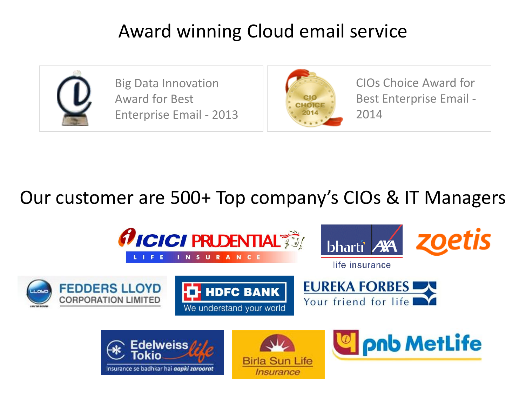## Award winning Cloud email service



Big Data Innovation Award for Best Enterprise Email - 2013



CIOs Choice Award for Best Enterprise Email - 2014

## Our customer are 500+ Top company's CIOs & IT Managers

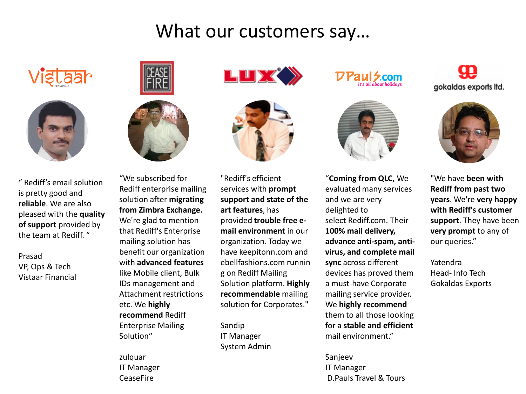## What our customers say…





" Rediff's email solution is pretty good and **reliable**. We are also pleased with the **quality of support** provided by the team at Rediff. "

Prasad VP, Ops & Tech Vistaar Financial





"We subscribed for Rediff enterprise mailing solution after **migrating from Zimbra Exchange.**  We're glad to mention that Rediff's Enterprise mailing solution has benefit our organization with **advanced features**  like Mobile client, Bulk IDs management and Attachment restrictions etc. We **highly recommend** Rediff Enterprise Mailing Solution"

zulquar IT Manager CeaseFire





"Rediff's efficient services with **prompt support and state of the art features**, has provided **trouble free email environment** in our organization. Today we have keepitonn.com and ebellfashions.com runnin g on Rediff Mailing Solution platform. **Highly recommendable** mailing solution for Corporates."

Sandip IT Manager System Admin

**Z.COM** 



"**Coming from QLC,** We evaluated many services and we are very delighted to select Rediff.com. Their **100% mail delivery, advance anti-spam, antivirus, and complete mail sync** across different devices has proved them a must-have Corporate mailing service provider. We **highly recommend**  them to all those looking for a **stable and efficient**  mail environment."

Sanjeev IT Manager D.Pauls Travel & Tours

99 gokaldas exports ltd.



"We have **been with Rediff from past two years**. We're **very happy with Rediff's customer support**. They have been **very prompt** to any of our queries."

Yatendra Head- Info Tech Gokaldas Exports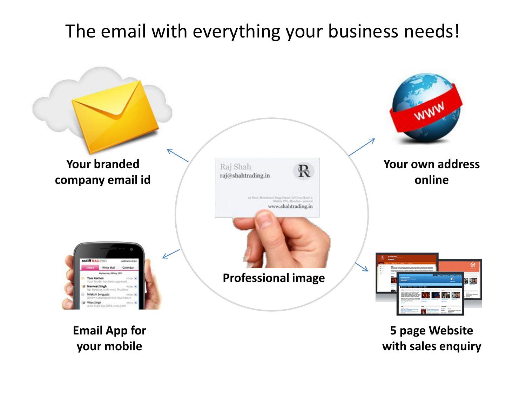## The email with everything your business needs!



**5 page Website with sales enquiry**

**Email App for your mobile**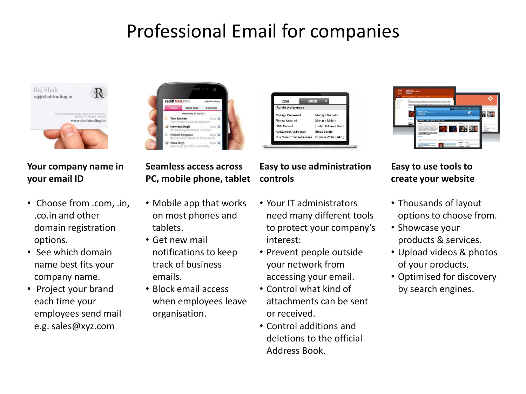## Professional Email for companies



#### **Your company name in your email ID**

- Choose from .com, .in, .co.in and other domain registration options.
- See which domain name best fits your company name.
- Project your brand each time your employees send mail e.g. sales@xyz.com



#### **Seamless access across PC, mobile phone, tablet**

- Mobile app that works on most phones and tablets.
- Get new mail notifications to keep track of business emails.
- Block email access when employees leave organisation.





#### **Easy to use administration controls**

- Your IT administrators need many different tools to protect your company's interest:
- Prevent people outside your network from accessing your email.
- Control what kind of attachments can be sent or received.
- Control additions and deletions to the official Address Book.

#### **Easy to use tools to create your website**

- Thousands of layout options to choose from.
- Showcase your products & services.
- Upload videos & photos of your products.
- Optimised for discovery by search engines.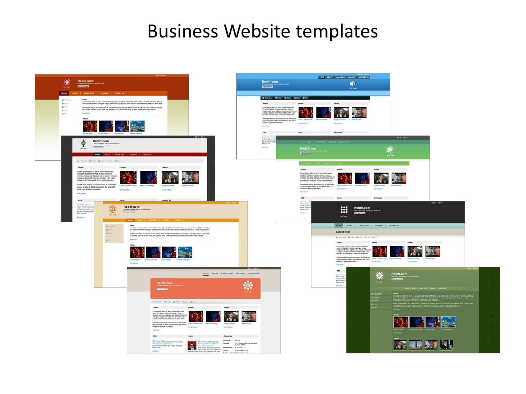### Business Website templates

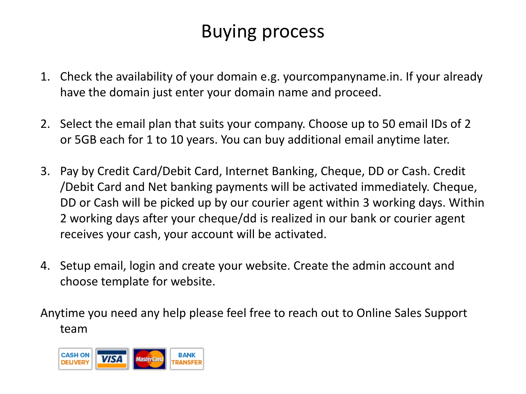## Buying process

- 1. Check the availability of your domain e.g. yourcompanyname.in. If your already have the domain just enter your domain name and proceed.
- 2. Select the email plan that suits your company. Choose up to 50 email IDs of 2 or 5GB each for 1 to 10 years. You can buy additional email anytime later.
- 3. Pay by Credit Card/Debit Card, Internet Banking, Cheque, DD or Cash. Credit /Debit Card and Net banking payments will be activated immediately. Cheque, DD or Cash will be picked up by our courier agent within 3 working days. Within 2 working days after your cheque/dd is realized in our bank or courier agent receives your cash, your account will be activated.
- 4. Setup email, login and create your website. Create the admin account and choose template for website.

Anytime you need any help please feel free to reach out to Online Sales Support team

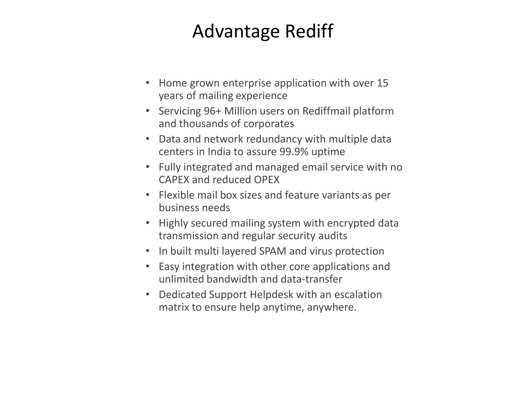## Advantage Rediff

- Home grown enterprise application with over 15 years of mailing experience
- Servicing 96+ Million users on Rediffmail platform and thousands of corporates
- Data and network redundancy with multiple data centers in India to assure 99.9% uptime
- Fully integrated and managed email service with no CAPEX and reduced OPEX
- Flexible mail box sizes and feature variants as per business needs
- Highly secured mailing system with encrypted data transmission and regular security audits
- In built multi layered SPAM and virus protection
- Easy integration with other core applications and unlimited bandwidth and data-transfer
- Dedicated Support Helpdesk with an escalation matrix to ensure help anytime, anywhere.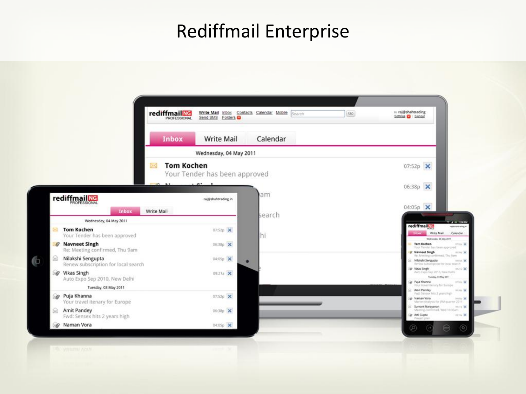## Rediffmail Enterprise